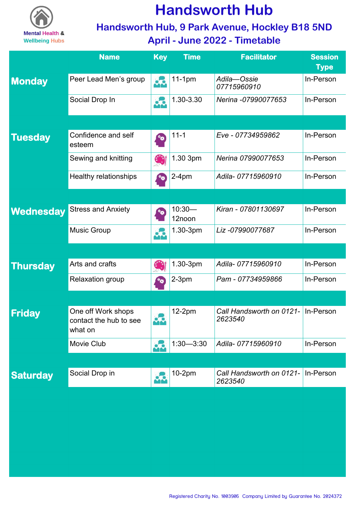

# **Handsworth Hub**

**Handsworth Hub, 9 Park Avenue, Hockley B18 5ND April - June 2022 - Timetable**

|                 | <b>Name</b>                                             | <b>Key</b> | <b>Time</b>        | <b>Facilitator</b>                            | <b>Session</b><br><b>Type</b> |
|-----------------|---------------------------------------------------------|------------|--------------------|-----------------------------------------------|-------------------------------|
| <b>Monday</b>   | Peer Lead Men's group                                   | $\bullet$  | $11-1pm$           | Adila-Ossie<br>07715960910                    | In-Person                     |
|                 | Social Drop In                                          | $\bullet$  | 1.30-3.30          | Nerina -07990077653                           | In-Person                     |
|                 |                                                         |            |                    |                                               |                               |
| <b>Tuesday</b>  | Confidence and self<br>esteem                           | **         | $11 - 1$           | Eve - 07734959862                             | In-Person                     |
|                 | Sewing and knitting                                     | 69         | 1.30 3pm           | Nerina 07990077653                            | In-Person                     |
|                 | <b>Healthy relationships</b>                            |            | $2-4pm$            | Adila-07715960910                             | In-Person                     |
|                 |                                                         |            |                    |                                               |                               |
| Wednesday       | <b>Stress and Anxiety</b>                               |            | $10:30-$<br>12noon | Kiran - 07801130697                           | In-Person                     |
|                 | <b>Music Group</b>                                      |            | 1.30-3pm           | Liz -07990077687                              | In-Person                     |
|                 |                                                         |            |                    |                                               |                               |
| <b>Thursday</b> | Arts and crafts                                         |            | 1.30-3pm           | Adila-07715960910                             | In-Person                     |
|                 | <b>Relaxation group</b>                                 |            | $2-3pm$            | Pam - 07734959866                             | In-Person                     |
|                 |                                                         |            |                    |                                               |                               |
| <b>Friday</b>   | One off Work shops<br>contact the hub to see<br>what on | ůů         | 12-2pm             | Call Handsworth on 0121- In-Person<br>2623540 |                               |
|                 | Movie Club                                              | 53         | $1:30 - 3:30$      | Adila-07715960910                             | In-Person                     |
|                 |                                                         |            |                    |                                               |                               |
| <b>Saturday</b> | Social Drop in                                          | <br>       | 10-2pm             | Call Handsworth on 0121- In-Person<br>2623540 |                               |
|                 |                                                         |            |                    |                                               |                               |
|                 |                                                         |            |                    |                                               |                               |
|                 |                                                         |            |                    |                                               |                               |
|                 |                                                         |            |                    |                                               |                               |
|                 |                                                         |            |                    |                                               |                               |
|                 |                                                         |            |                    |                                               |                               |